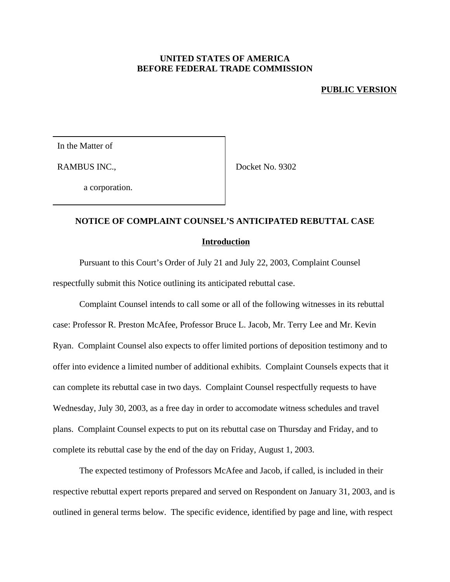## **UNITED STATES OF AMERICA BEFORE FEDERAL TRADE COMMISSION**

## **PUBLIC VERSION**

In the Matter of

RAMBUS INC.,

Docket No. 9302

a corporation.

## **NOTICE OF COMPLAINT COUNSEL'S ANTICIPATED REBUTTAL CASE**

## **Introduction**

Pursuant to this Court's Order of July 21 and July 22, 2003, Complaint Counsel respectfully submit this Notice outlining its anticipated rebuttal case.

Complaint Counsel intends to call some or all of the following witnesses in its rebuttal case: Professor R. Preston McAfee, Professor Bruce L. Jacob, Mr. Terry Lee and Mr. Kevin Ryan. Complaint Counsel also expects to offer limited portions of deposition testimony and to offer into evidence a limited number of additional exhibits. Complaint Counsels expects that it can complete its rebuttal case in two days. Complaint Counsel respectfully requests to have Wednesday, July 30, 2003, as a free day in order to accomodate witness schedules and travel plans. Complaint Counsel expects to put on its rebuttal case on Thursday and Friday, and to complete its rebuttal case by the end of the day on Friday, August 1, 2003.

The expected testimony of Professors McAfee and Jacob, if called, is included in their respective rebuttal expert reports prepared and served on Respondent on January 31, 2003, and is outlined in general terms below. The specific evidence, identified by page and line, with respect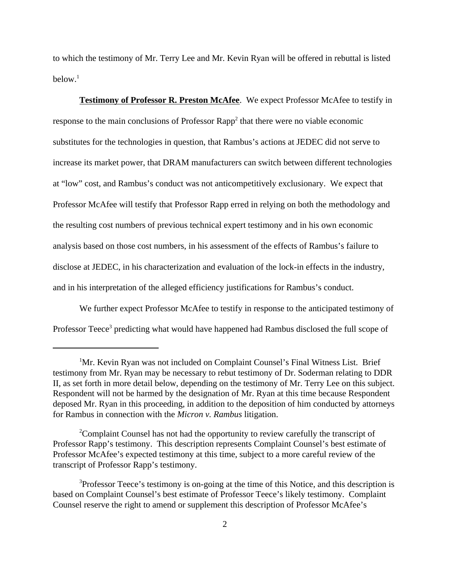to which the testimony of Mr. Terry Lee and Mr. Kevin Ryan will be offered in rebuttal is listed below. $^1$ 

**Testimony of Professor R. Preston McAfee**. We expect Professor McAfee to testify in response to the main conclusions of Professor Rapp<sup>2</sup> that there were no viable economic substitutes for the technologies in question, that Rambus's actions at JEDEC did not serve to increase its market power, that DRAM manufacturers can switch between different technologies at "low" cost, and Rambus's conduct was not anticompetitively exclusionary. We expect that Professor McAfee will testify that Professor Rapp erred in relying on both the methodology and the resulting cost numbers of previous technical expert testimony and in his own economic analysis based on those cost numbers, in his assessment of the effects of Rambus's failure to disclose at JEDEC, in his characterization and evaluation of the lock-in effects in the industry, and in his interpretation of the alleged efficiency justifications for Rambus's conduct.

We further expect Professor McAfee to testify in response to the anticipated testimony of Professor Teece<sup>3</sup> predicting what would have happened had Rambus disclosed the full scope of

<sup>&</sup>lt;sup>1</sup>Mr. Kevin Ryan was not included on Complaint Counsel's Final Witness List. Brief testimony from Mr. Ryan may be necessary to rebut testimony of Dr. Soderman relating to DDR II, as set forth in more detail below, depending on the testimony of Mr. Terry Lee on this subject. Respondent will not be harmed by the designation of Mr. Ryan at this time because Respondent deposed Mr. Ryan in this proceeding, in addition to the deposition of him conducted by attorneys for Rambus in connection with the *Micron v. Rambus* litigation.

<sup>2</sup>Complaint Counsel has not had the opportunity to review carefully the transcript of Professor Rapp's testimony. This description represents Complaint Counsel's best estimate of Professor McAfee's expected testimony at this time, subject to a more careful review of the transcript of Professor Rapp's testimony.

<sup>&</sup>lt;sup>3</sup>Professor Teece's testimony is on-going at the time of this Notice, and this description is based on Complaint Counsel's best estimate of Professor Teece's likely testimony. Complaint Counsel reserve the right to amend or supplement this description of Professor McAfee's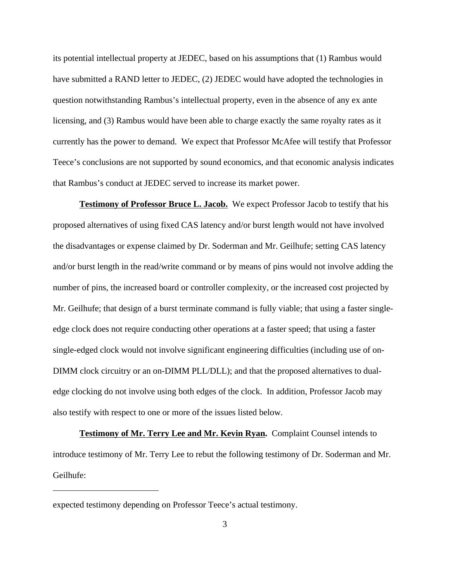its potential intellectual property at JEDEC, based on his assumptions that (1) Rambus would have submitted a RAND letter to JEDEC, (2) JEDEC would have adopted the technologies in question notwithstanding Rambus's intellectual property, even in the absence of any ex ante licensing, and (3) Rambus would have been able to charge exactly the same royalty rates as it currently has the power to demand. We expect that Professor McAfee will testify that Professor Teece's conclusions are not supported by sound economics, and that economic analysis indicates that Rambus's conduct at JEDEC served to increase its market power.

**Testimony of Professor Bruce L. Jacob.** We expect Professor Jacob to testify that his proposed alternatives of using fixed CAS latency and/or burst length would not have involved the disadvantages or expense claimed by Dr. Soderman and Mr. Geilhufe; setting CAS latency and/or burst length in the read/write command or by means of pins would not involve adding the number of pins, the increased board or controller complexity, or the increased cost projected by Mr. Geilhufe; that design of a burst terminate command is fully viable; that using a faster singleedge clock does not require conducting other operations at a faster speed; that using a faster single-edged clock would not involve significant engineering difficulties (including use of on-DIMM clock circuitry or an on-DIMM PLL/DLL); and that the proposed alternatives to dualedge clocking do not involve using both edges of the clock. In addition, Professor Jacob may also testify with respect to one or more of the issues listed below.

**Testimony of Mr. Terry Lee and Mr. Kevin Ryan.** Complaint Counsel intends to introduce testimony of Mr. Terry Lee to rebut the following testimony of Dr. Soderman and Mr. Geilhufe:

expected testimony depending on Professor Teece's actual testimony.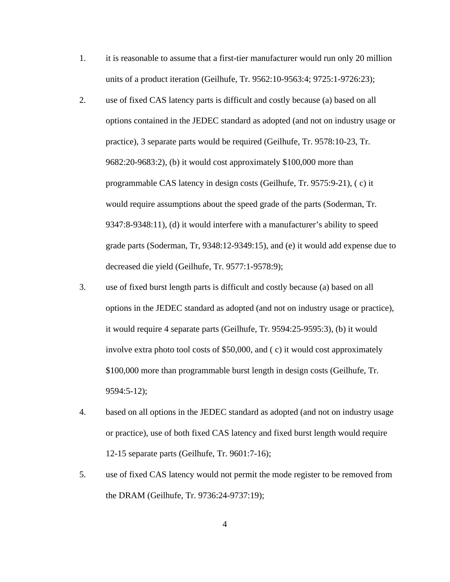- 1. it is reasonable to assume that a first-tier manufacturer would run only 20 million units of a product iteration (Geilhufe, Tr. 9562:10-9563:4; 9725:1-9726:23);
- 2. use of fixed CAS latency parts is difficult and costly because (a) based on all options contained in the JEDEC standard as adopted (and not on industry usage or practice), 3 separate parts would be required (Geilhufe, Tr. 9578:10-23, Tr. 9682:20-9683:2), (b) it would cost approximately \$100,000 more than programmable CAS latency in design costs (Geilhufe, Tr. 9575:9-21), ( c) it would require assumptions about the speed grade of the parts (Soderman, Tr. 9347:8-9348:11), (d) it would interfere with a manufacturer's ability to speed grade parts (Soderman, Tr, 9348:12-9349:15), and (e) it would add expense due to decreased die yield (Geilhufe, Tr. 9577:1-9578:9);
- 3. use of fixed burst length parts is difficult and costly because (a) based on all options in the JEDEC standard as adopted (and not on industry usage or practice), it would require 4 separate parts (Geilhufe, Tr. 9594:25-9595:3), (b) it would involve extra photo tool costs of \$50,000, and ( c) it would cost approximately \$100,000 more than programmable burst length in design costs (Geilhufe, Tr. 9594:5-12);
- 4. based on all options in the JEDEC standard as adopted (and not on industry usage or practice), use of both fixed CAS latency and fixed burst length would require 12-15 separate parts (Geilhufe, Tr. 9601:7-16);
- 5. use of fixed CAS latency would not permit the mode register to be removed from the DRAM (Geilhufe, Tr. 9736:24-9737:19);

4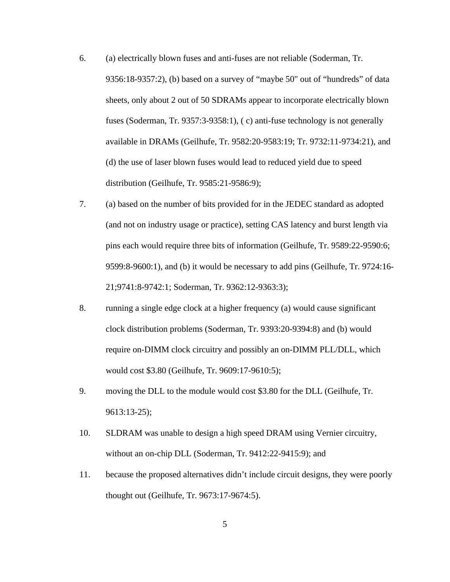- 6. (a) electrically blown fuses and anti-fuses are not reliable (Soderman, Tr. 9356:18-9357:2), (b) based on a survey of "maybe 50" out of "hundreds" of data sheets, only about 2 out of 50 SDRAMs appear to incorporate electrically blown fuses (Soderman, Tr. 9357:3-9358:1), ( c) anti-fuse technology is not generally available in DRAMs (Geilhufe, Tr. 9582:20-9583:19; Tr. 9732:11-9734:21), and (d) the use of laser blown fuses would lead to reduced yield due to speed distribution (Geilhufe, Tr. 9585:21-9586:9);
- 7. (a) based on the number of bits provided for in the JEDEC standard as adopted (and not on industry usage or practice), setting CAS latency and burst length via pins each would require three bits of information (Geilhufe, Tr. 9589:22-9590:6; 9599:8-9600:1), and (b) it would be necessary to add pins (Geilhufe, Tr. 9724:16- 21;9741:8-9742:1; Soderman, Tr. 9362:12-9363:3);
- 8. running a single edge clock at a higher frequency (a) would cause significant clock distribution problems (Soderman, Tr. 9393:20-9394:8) and (b) would require on-DIMM clock circuitry and possibly an on-DIMM PLL/DLL, which would cost \$3.80 (Geilhufe, Tr. 9609:17-9610:5);
- 9. moving the DLL to the module would cost \$3.80 for the DLL (Geilhufe, Tr. 9613:13-25);
- 10. SLDRAM was unable to design a high speed DRAM using Vernier circuitry, without an on-chip DLL (Soderman, Tr. 9412:22-9415:9); and
- 11. because the proposed alternatives didn't include circuit designs, they were poorly thought out (Geilhufe, Tr. 9673:17-9674:5).

5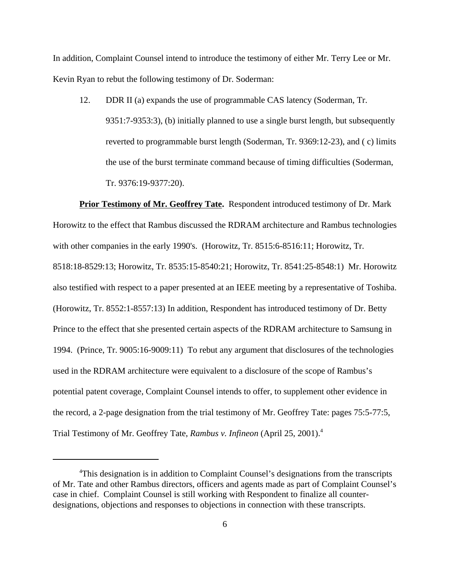In addition, Complaint Counsel intend to introduce the testimony of either Mr. Terry Lee or Mr. Kevin Ryan to rebut the following testimony of Dr. Soderman:

12. DDR II (a) expands the use of programmable CAS latency (Soderman, Tr. 9351:7-9353:3), (b) initially planned to use a single burst length, but subsequently reverted to programmable burst length (Soderman, Tr. 9369:12-23), and ( c) limits the use of the burst terminate command because of timing difficulties (Soderman, Tr. 9376:19-9377:20).

**Prior Testimony of Mr. Geoffrey Tate.** Respondent introduced testimony of Dr. Mark Horowitz to the effect that Rambus discussed the RDRAM architecture and Rambus technologies with other companies in the early 1990's. (Horowitz, Tr. 8515:6-8516:11; Horowitz, Tr. 8518:18-8529:13; Horowitz, Tr. 8535:15-8540:21; Horowitz, Tr. 8541:25-8548:1) Mr. Horowitz also testified with respect to a paper presented at an IEEE meeting by a representative of Toshiba. (Horowitz, Tr. 8552:1-8557:13) In addition, Respondent has introduced testimony of Dr. Betty Prince to the effect that she presented certain aspects of the RDRAM architecture to Samsung in 1994. (Prince, Tr. 9005:16-9009:11) To rebut any argument that disclosures of the technologies used in the RDRAM architecture were equivalent to a disclosure of the scope of Rambus's potential patent coverage, Complaint Counsel intends to offer, to supplement other evidence in the record, a 2-page designation from the trial testimony of Mr. Geoffrey Tate: pages 75:5-77:5, Trial Testimony of Mr. Geoffrey Tate, *Rambus v. Infineon* (April 25, 2001).4

<sup>&</sup>lt;sup>4</sup>This designation is in addition to Complaint Counsel's designations from the transcripts of Mr. Tate and other Rambus directors, officers and agents made as part of Complaint Counsel's case in chief. Complaint Counsel is still working with Respondent to finalize all counterdesignations, objections and responses to objections in connection with these transcripts.